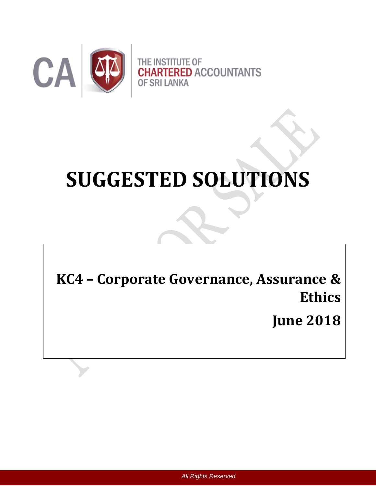

# **SUGGESTED SOLUTIONS**

**KC4 – Corporate Governance, Assurance & Ethics June 2018**

*All Rights Reserved*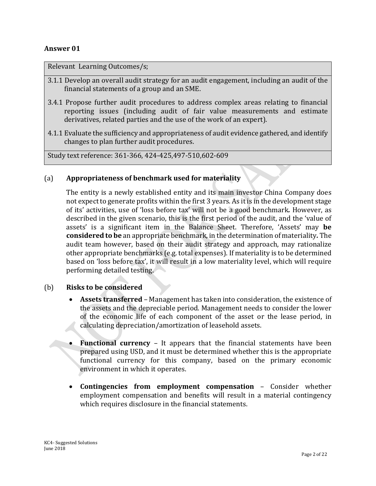#### **Answer 01**

Relevant Learning Outcomes/s;

- 3.1.1 Develop an overall audit strategy for an audit engagement, including an audit of the financial statements of a group and an SME.
- 3.4.1 Propose further audit procedures to address complex areas relating to financial reporting issues (including audit of fair value measurements and estimate derivatives, related parties and the use of the work of an expert).
- 4.1.1 Evaluate the sufficiency and appropriateness of audit evidence gathered, and identify changes to plan further audit procedures.

Study text reference: 361-366, 424-425,497-510,602-609

#### (a) **Appropriateness of benchmark used for materiality**

The entity is a newly established entity and its main investor China Company does not expect to generate profits within the first 3 years*.* As it is in the development stage of its' activities, use of 'loss before tax' will not be a good benchmark*.* However, as described in the given scenario, this is the first period of the audit, and the 'value of assets' is a significant item in the Balance Sheet. Therefore, 'Assets' may **be considered to be** an appropriate benchmark, in the determination of materiality*.* The audit team however, based on their audit strategy and approach, may rationalize other appropriate benchmarks (e.g. total expenses). If materiality is to be determined based on 'loss before tax', it will result in a low materiality level, which will require performing detailed testing.

#### (b) **Risks to be considered**

- **Assets transferred** Management has taken into consideration, the existence of the assets and the depreciable period. Management needs to consider the lower of the economic life of each component of the asset or the lease period, in calculating depreciation/amortization of leasehold assets.
- **Functional currency** It appears that the financial statements have been prepared using USD, and it must be determined whether this is the appropriate functional currency for this company, based on the primary economic environment in which it operates.
- **Contingencies from employment compensation** Consider whether employment compensation and benefits will result in a material contingency which requires disclosure in the financial statements.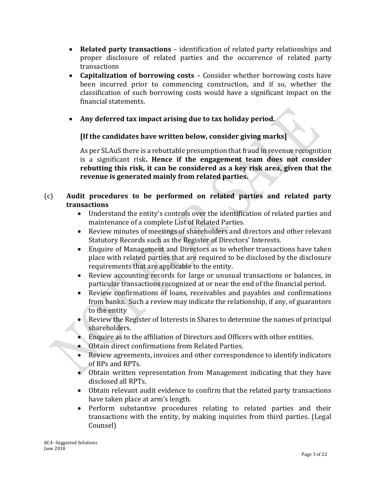- **Related party transactions** identification of related party relationships and proper disclosure of related parties and the occurrence of related party transactions
- **Capitalization of borrowing costs** Consider whether borrowing costs have been incurred prior to commencing construction, and if so, whether the classification of such borrowing costs would have a significant impact on the financial statements.
- **Any deferred tax impact arising due to tax holiday period.**

## **[If the candidates have written below, consider giving marks]**

As per SLAuS there is a rebuttable presumption that fraud in revenue recognition is a significant risk**. Hence if the engagement team does not consider rebutting this risk, it can be considered as a key risk area, given that the revenue is generated mainly from related parties.**

### (c) **Audit procedures to be performed on related parties and related party transactions**

- Understand the entity's controls over the identification of related parties and maintenance of a complete List of Related Parties.
- Review minutes of meetings of shareholders and directors and other relevant Statutory Records such as the Register of Directors' Interests.
- Enquire of Management and Directors as to whether transactions have taken place with related parties that are required to be disclosed by the disclosure requirements that are applicable to the entity.
- Review accounting records for large or unusual transactions or balances, in particular transactions recognized at or near the end of the financial period.
- Review confirmations of loans, receivables and payables and confirmations from banks. Such a review may indicate the relationship, if any, of guarantors to the entity
- Review the Register of Interests in Shares to determine the names of principal shareholders.
- Enquire as to the affiliation of Directors and Officers with other entities.
- Obtain direct confirmations from Related Parties.
- Review agreements, invoices and other correspondence to identify indicators of RPs and RPTs.
- Obtain written representation from Management indicating that they have disclosed all RPTs.
- Obtain relevant audit evidence to confirm that the related party transactions have taken place at arm's length.
- Perform substantive procedures relating to related parties and their transactions with the entity, by making inquiries from third parties. (Legal Counsel)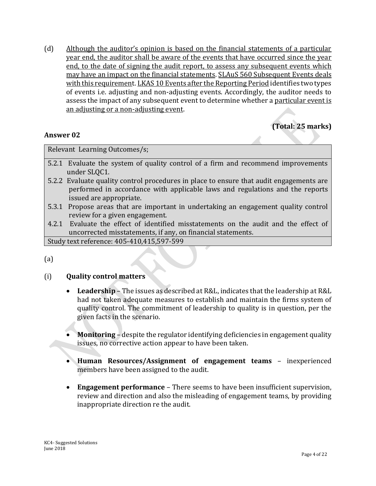(d) Although the auditor's opinion is based on the financial statements of a particular year end, the auditor shall be aware of the events that have occurred since the year end, to the date of signing the audit report, to assess any subsequent events which may have an impact on the financial statements. SLAuS 560 Subsequent Events deals with this requirement. LKAS 10 Events after the Reporting Period identifies two types of events i.e. adjusting and non-adjusting events. Accordingly, the auditor needs to assess the impact of any subsequent event to determine whether a particular event is an adjusting or a non-adjusting event.

# **(Total: 25 marks)**

#### **Answer 02**

Relevant Learning Outcomes/s;

- 5.2.1 Evaluate the system of quality control of a firm and recommend improvements under SLQC1.
- 5.2.2 Evaluate quality control procedures in place to ensure that audit engagements are performed in accordance with applicable laws and regulations and the reports issued are appropriate.
- 5.3.1 Propose areas that are important in undertaking an engagement quality control review for a given engagement.
- 4.2.1 Evaluate the effect of identified misstatements on the audit and the effect of uncorrected misstatements, if any, on financial statements.

Study text reference: 405-410,415,597-599

(a)

#### (i) **Quality control matters**

- **Leadership**  The issues as described at R&L, indicates that the leadership at R&L had not taken adequate measures to establish and maintain the firms system of quality control. The commitment of leadership to quality is in question, per the given facts in the scenario.
- **Monitoring**  despite the regulator identifying deficiencies in engagement quality issues, no corrective action appear to have been taken.
- **Human Resources/Assignment of engagement teams** inexperienced members have been assigned to the audit.
- **Engagement performance** There seems to have been insufficient supervision, review and direction and also the misleading of engagement teams, by providing inappropriate direction re the audit.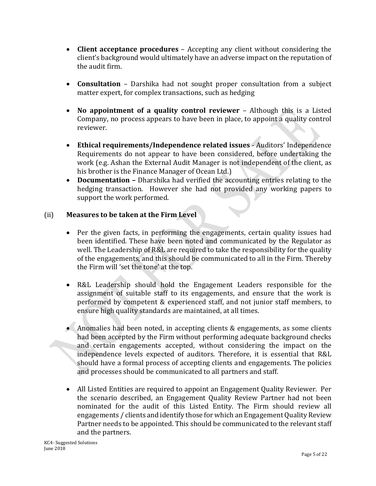- **Client acceptance procedures** Accepting any client without considering the client's background would ultimately have an adverse impact on the reputation of the audit firm.
- **Consultation** Darshika had not sought proper consultation from a subject matter expert, for complex transactions, such as hedging
- **No appointment of a quality control reviewer** Although this is a Listed Company, no process appears to have been in place, to appoint a quality control reviewer.
- **Ethical requirements/Independence related issues** Auditors' Independence Requirements do not appear to have been considered, before undertaking the work (e.g. Ashan the External Audit Manager is not independent of the client, as his brother is the Finance Manager of Ocean Ltd.)
- **Documentation –** Dharshika had verified the accounting entries relating to the hedging transaction. However she had not provided any working papers to support the work performed.

#### (ii) **Measures to be taken at the Firm Level**

- Per the given facts, in performing the engagements, certain quality issues had been identified. These have been noted and communicated by the Regulator as well. The Leadership of R&L are required to take the responsibility for the quality of the engagements, and this should be communicated to all in the Firm. Thereby the Firm will 'set the tone' at the top.
- R&L Leadership should hold the Engagement Leaders responsible for the assignment of suitable staff to its engagements, and ensure that the work is performed by competent & experienced staff, and not junior staff members, to ensure high quality standards are maintained, at all times.
- Anomalies had been noted, in accepting clients & engagements, as some clients had been accepted by the Firm without performing adequate background checks and certain engagements accepted, without considering the impact on the independence levels expected of auditors. Therefore, it is essential that R&L should have a formal process of accepting clients and engagements. The policies and processes should be communicated to all partners and staff.
- All Listed Entities are required to appoint an Engagement Quality Reviewer. Per the scenario described, an Engagement Quality Review Partner had not been nominated for the audit of this Listed Entity. The Firm should review all engagements / clients and identify those for which an Engagement Quality Review Partner needs to be appointed. This should be communicated to the relevant staff and the partners.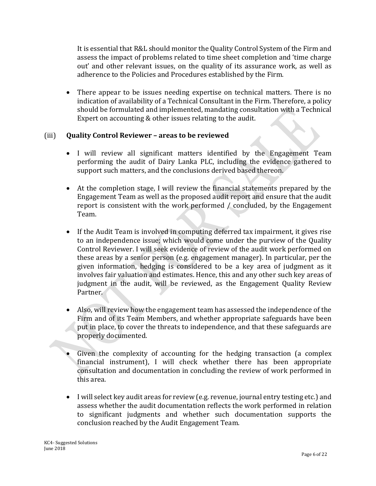It is essential that R&L should monitor the Quality Control System of the Firm and assess the impact of problems related to time sheet completion and 'time charge out' and other relevant issues, on the quality of its assurance work, as well as adherence to the Policies and Procedures established by the Firm.

 There appear to be issues needing expertise on technical matters. There is no indication of availability of a Technical Consultant in the Firm. Therefore, a policy should be formulated and implemented, mandating consultation with a Technical Expert on accounting & other issues relating to the audit.

#### (iii) **Quality Control Reviewer – areas to be reviewed**

- I will review all significant matters identified by the Engagement Team performing the audit of Dairy Lanka PLC, including the evidence gathered to support such matters, and the conclusions derived based thereon.
- At the completion stage, I will review the financial statements prepared by the Engagement Team as well as the proposed audit report and ensure that the audit report is consistent with the work performed / concluded, by the Engagement Team.
- If the Audit Team is involved in computing deferred tax impairment, it gives rise to an independence issue; which would come under the purview of the Quality Control Reviewer. I will seek evidence of review of the audit work performed on these areas by a senior person (e.g. engagement manager). In particular, per the given information, hedging is considered to be a key area of judgment as it involves fair valuation and estimates. Hence, this and any other such key areas of judgment in the audit, will be reviewed, as the Engagement Quality Review Partner.
- Also, will review how the engagement team has assessed the independence of the Firm and of its Team Members, and whether appropriate safeguards have been put in place, to cover the threats to independence, and that these safeguards are properly documented.
- Given the complexity of accounting for the hedging transaction (a complex financial instrument), I will check whether there has been appropriate consultation and documentation in concluding the review of work performed in this area.
- I will select key audit areas for review (e.g. revenue, journal entry testing etc.) and assess whether the audit documentation reflects the work performed in relation to significant judgments and whether such documentation supports the conclusion reached by the Audit Engagement Team.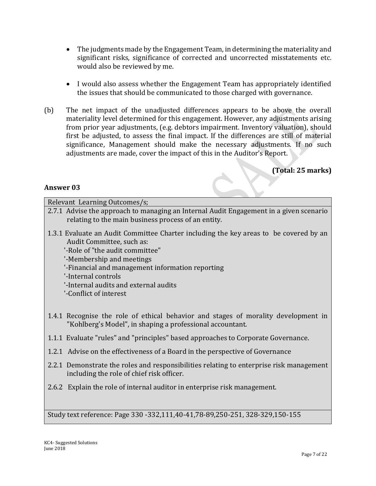- The judgments made by the Engagement Team, in determining the materiality and significant risks, significance of corrected and uncorrected misstatements etc. would also be reviewed by me.
- I would also assess whether the Engagement Team has appropriately identified the issues that should be communicated to those charged with governance.
- (b) The net impact of the unadjusted differences appears to be above the overall materiality level determined for this engagement. However, any adjustments arising from prior year adjustments, (e.g. debtors impairment. Inventory valuation), should first be adjusted, to assess the final impact. If the differences are still of material significance, Management should make the necessary adjustments. If no such adjustments are made, cover the impact of this in the Auditor's Report.

**(Total: 25 marks)**

#### **Answer 03**

Relevant Learning Outcomes/s;

- 2.7.1 Advise the approach to managing an Internal Audit Engagement in a given scenario relating to the main business process of an entity.
- 1.3.1 Evaluate an Audit Committee Charter including the key areas to be covered by an Audit Committee, such as:
	- '-Role of "the audit committee"
	- '-Membership and meetings
	- '-Financial and management information reporting
	- '-Internal controls
	- '-Internal audits and external audits
	- '-Conflict of interest
- 1.4.1 Recognise the role of ethical behavior and stages of morality development in "Kohlberg's Model", in shaping a professional accountant.
- 1.1.1 Evaluate "rules" and "principles" based approaches to Corporate Governance.
- 1.2.1 Advise on the effectiveness of a Board in the perspective of Governance
- 2.2.1 Demonstrate the roles and responsibilities relating to enterprise risk management including the role of chief risk officer.
- 2.6.2 Explain the role of internal auditor in enterprise risk management.

Study text reference: Page 330 -332,111,40-41,78-89,250-251, 328-329,150-155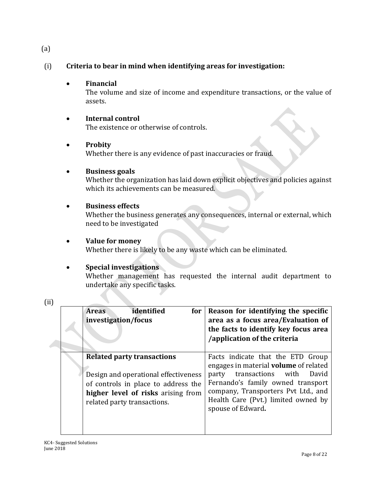# (i) **Criteria to bear in mind when identifying areas for investigation:**

#### **Financial**

The volume and size of income and expenditure transactions, or the value of assets.

#### **Internal control**

The existence or otherwise of controls.

#### **Probity**

Whether there is any evidence of past inaccuracies or fraud.

#### **Business goals**

Whether the organization has laid down explicit objectives and policies against which its achievements can be measured.

#### **Business effects**

Whether the business generates any consequences, internal or external, which need to be investigated

#### **Value for money**

Whether there is likely to be any waste which can be eliminated.

#### **Special investigations**

Whether management has requested the internal audit department to undertake any specific tasks.

|  | identified<br>for<br><b>Areas</b><br>investigation/focus                                                                                                                              | Reason for identifying the specific<br>area as a focus area/Evaluation of<br>the facts to identify key focus area<br>/application of the criteria                                                                                                         |
|--|---------------------------------------------------------------------------------------------------------------------------------------------------------------------------------------|-----------------------------------------------------------------------------------------------------------------------------------------------------------------------------------------------------------------------------------------------------------|
|  | <b>Related party transactions</b><br>Design and operational effectiveness<br>of controls in place to address the<br>higher level of risks arising from<br>related party transactions. | Facts indicate that the ETD Group<br>engages in material volume of related<br>transactions with<br>David<br>party<br>Fernando's family owned transport<br>company, Transporters Pvt Ltd., and<br>Health Care (Pvt.) limited owned by<br>spouse of Edward. |

(a)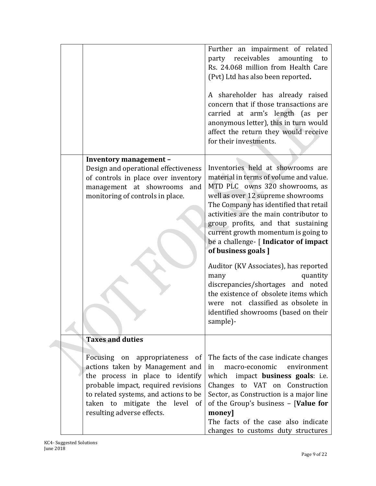|                                                                                                                                                                                                                                                       | Further an impairment of related<br>receivables<br>amounting<br>party<br>to<br>Rs. 24.068 million from Health Care<br>(Pvt) Ltd has also been reported.                                                                                                                                                                                                                                                                                                                                                                                                                                                                  |
|-------------------------------------------------------------------------------------------------------------------------------------------------------------------------------------------------------------------------------------------------------|--------------------------------------------------------------------------------------------------------------------------------------------------------------------------------------------------------------------------------------------------------------------------------------------------------------------------------------------------------------------------------------------------------------------------------------------------------------------------------------------------------------------------------------------------------------------------------------------------------------------------|
|                                                                                                                                                                                                                                                       | A shareholder has already raised<br>concern that if those transactions are<br>carried at arm's length (as per<br>anonymous letter), this in turn would<br>affect the return they would receive<br>for their investments.                                                                                                                                                                                                                                                                                                                                                                                                 |
| Inventory management -<br>Design and operational effectiveness<br>of controls in place over inventory<br>management at showrooms<br>and<br>monitoring of controls in place.                                                                           | Inventories held at showrooms are<br>material in terms of volume and value.<br>MTD PLC owns 320 showrooms, as<br>well as over 12 supreme showrooms<br>The Company has identified that retail<br>activities are the main contributor to<br>group profits, and that sustaining<br>current growth momentum is going to<br>be a challenge- [ Indicator of impact<br>of business goals ]<br>Auditor (KV Associates), has reported<br>quantity<br>many<br>discrepancies/shortages and noted<br>the existence of obsolete items which<br>were not classified as obsolete in<br>identified showrooms (based on their<br>sample)- |
| <b>Taxes and duties</b>                                                                                                                                                                                                                               |                                                                                                                                                                                                                                                                                                                                                                                                                                                                                                                                                                                                                          |
| Focusing on appropriateness of<br>actions taken by Management and<br>the process in place to identify<br>probable impact, required revisions<br>to related systems, and actions to be<br>taken to mitigate the level of<br>resulting adverse effects. | The facts of the case indicate changes<br>environment<br>macro-economic<br>in<br>which impact business goals: i.e.<br>Changes to VAT on Construction<br>Sector, as Construction is a major line<br>of the Group's business $-$ [Value for<br>money<br>The facts of the case also indicate<br>changes to customs duty structures                                                                                                                                                                                                                                                                                          |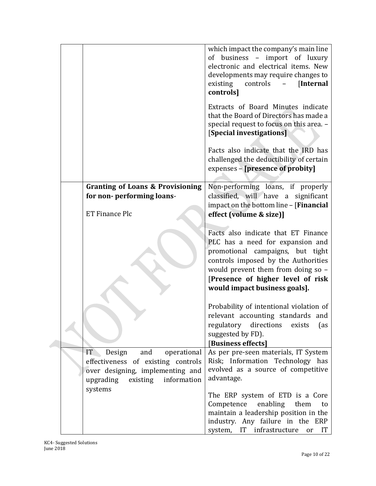|                                                                       | which impact the company's main line<br>of business - import of luxury<br>electronic and electrical items. New<br>developments may require changes to<br>existing<br>controls<br>[Internal]<br>controls]                                                       |
|-----------------------------------------------------------------------|----------------------------------------------------------------------------------------------------------------------------------------------------------------------------------------------------------------------------------------------------------------|
|                                                                       | Extracts of Board Minutes indicate<br>that the Board of Directors has made a<br>special request to focus on this area. -<br>[Special investigations]                                                                                                           |
|                                                                       | Facts also indicate that the IRD has<br>challenged the deductibility of certain<br>expenses - [presence of probity]                                                                                                                                            |
| <b>Granting of Loans &amp; Provisioning</b>                           | Non-performing loans, if properly                                                                                                                                                                                                                              |
| for non-performing loans-                                             | classified, will have a significant                                                                                                                                                                                                                            |
| <b>ET Finance Plc</b>                                                 | impact on the bottom line - [Financial<br>effect (volume & size)]                                                                                                                                                                                              |
|                                                                       | Facts also indicate that ET Finance<br>PLC has a need for expansion and<br>promotional campaigns, but tight<br>controls imposed by the Authorities<br>would prevent them from doing so -<br>[Presence of higher level of risk<br>would impact business goals]. |
|                                                                       | Probability of intentional violation of<br>relevant accounting standards and<br>regulatory directions exists<br>(as<br>suggested by FD).<br><b>Business effects]</b>                                                                                           |
| IT<br>Design<br>and<br>operational                                    | As per pre-seen materials, IT System                                                                                                                                                                                                                           |
| effectiveness of existing controls                                    | Risk; Information Technology has                                                                                                                                                                                                                               |
| over designing, implementing and<br>existing information<br>upgrading | evolved as a source of competitive<br>advantage.                                                                                                                                                                                                               |
| systems                                                               |                                                                                                                                                                                                                                                                |
|                                                                       | The ERP system of ETD is a Core<br>Competence<br>enabling<br>them<br>to<br>maintain a leadership position in the<br>industry. Any failure in the ERP<br>system, IT infrastructure<br>$\overline{\mathbf{I}}$<br>or                                             |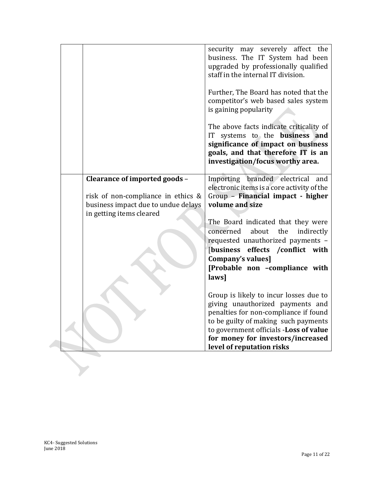|                                     | security may severely affect the<br>business. The IT System had been<br>upgraded by professionally qualified<br>staff in the internal IT division.                                               |
|-------------------------------------|--------------------------------------------------------------------------------------------------------------------------------------------------------------------------------------------------|
|                                     | Further, The Board has noted that the<br>competitor's web based sales system<br>is gaining popularity                                                                                            |
|                                     | The above facts indicate criticality of<br>IT systems to the <b>business</b> and<br>significance of impact on business<br>goals, and that therefore IT is an<br>investigation/focus worthy area. |
| Clearance of imported goods -       | Importing branded electrical<br>and<br>electronic items is a core activity of the                                                                                                                |
| risk of non-compliance in ethics &  | Group - Financial impact - higher                                                                                                                                                                |
| business impact due to undue delays | volume and size                                                                                                                                                                                  |
| in getting items cleared            | The Board indicated that they were                                                                                                                                                               |
|                                     | about<br>concerned<br>the<br>indirectly                                                                                                                                                          |
|                                     | requested unauthorized payments -                                                                                                                                                                |
|                                     | business effects /conflict with                                                                                                                                                                  |
|                                     | Company's values]                                                                                                                                                                                |
|                                     | [Probable non -compliance with<br>laws]                                                                                                                                                          |
|                                     | Group is likely to incur losses due to<br>giving unauthorized payments and                                                                                                                       |
|                                     | penalties for non-compliance if found                                                                                                                                                            |
|                                     | to be guilty of making such payments<br>to government officials -Loss of value                                                                                                                   |
|                                     | for money for investors/increased<br>level of reputation risks                                                                                                                                   |
|                                     |                                                                                                                                                                                                  |
|                                     |                                                                                                                                                                                                  |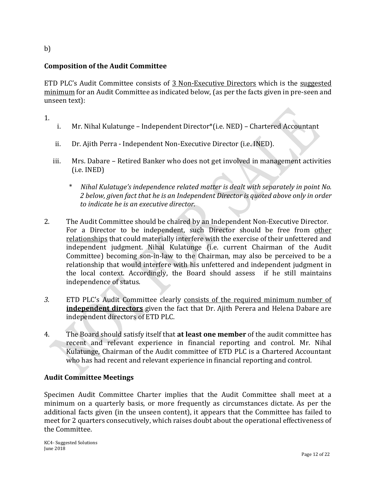#### b)

#### **Composition of the Audit Committee**

ETD PLC's Audit Committee consists of 3 Non-Executive Directors which is the suggested minimum for an Audit Committee as indicated below, (as per the facts given in pre-seen and unseen text):

1.

- i. Mr. Nihal Kulatunge Independent Director\*(i.e. NED) Chartered Accountant
- ii. Dr. Ajith Perra Independent Non-Executive Director (i.e. INED).
- iii. Mrs. Dabare Retired Banker who does not get involved in management activities (i.e. INED)
	- \* *Nihal Kulatuge's independence related matter is dealt with separately in point No. 2 below, given fact that he is an Independent Director is quoted above only in order to indicate he is an executive director.*
- 2. The Audit Committee should be chaired by an Independent Non-Executive Director. For a Director to be independent, such Director should be free from other relationships that could materially interfere with the exercise of their unfettered and independent judgment. Nihal Kulatunge (i.e. current Chairman of the Audit Committee) becoming son-in-law to the Chairman, may also be perceived to be a relationship that would interfere with his unfettered and independent judgment in the local context. Accordingly, the Board should assess if he still maintains independence of status.
- *3.* ETD PLC's Audit Committee clearly consists of the required minimum number of **independent directors** given the fact that Dr. Ajith Perera and Helena Dabare are independent directors of ETD PLC.
- 4. The Board should satisfy itself that **at least one member** of the audit committee has recent and relevant experience in financial reporting and control. Mr. Nihal Kulatunge, Chairman of the Audit committee of ETD PLC is a Chartered Accountant who has had recent and relevant experience in financial reporting and control.

#### **Audit Committee Meetings**

Specimen Audit Committee Charter implies that the Audit Committee shall meet at a minimum on a quarterly basis, or more frequently as circumstances dictate. As per the additional facts given (in the unseen content), it appears that the Committee has failed to meet for 2 quarters consecutively, which raises doubt about the operational effectiveness of the Committee.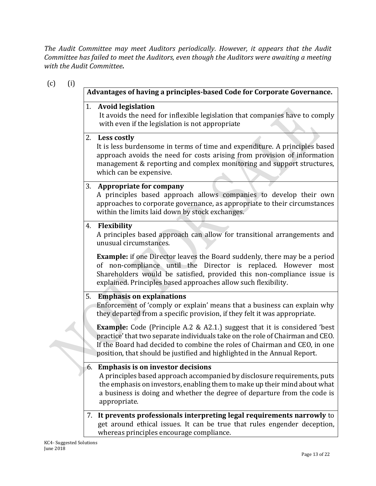*The Audit Committee may meet Auditors periodically. However, it appears that the Audit Committee has failed to meet the Auditors, even though the Auditors were awaiting a meeting with the Audit Committee.*

(c) (i)

|    | Advantages of having a principles-based Code for Corporate Governance.                                                                                                                                                                                                                                                     |
|----|----------------------------------------------------------------------------------------------------------------------------------------------------------------------------------------------------------------------------------------------------------------------------------------------------------------------------|
|    | 1. Avoid legislation<br>It avoids the need for inflexible legislation that companies have to comply<br>with even if the legislation is not appropriate                                                                                                                                                                     |
|    | 2. Less costly<br>It is less burdensome in terms of time and expenditure. A principles based<br>approach avoids the need for costs arising from provision of information<br>management & reporting and complex monitoring and support structures,<br>which can be expensive.                                               |
| 3. | <b>Appropriate for company</b><br>A principles based approach allows companies to develop their own<br>approaches to corporate governance, as appropriate to their circumstances<br>within the limits laid down by stock exchanges.                                                                                        |
|    | 4. Flexibility<br>A principles based approach can allow for transitional arrangements and<br>unusual circumstances.                                                                                                                                                                                                        |
|    | <b>Example:</b> if one Director leaves the Board suddenly, there may be a period<br>of non-compliance until the Director is replaced. However most<br>Shareholders would be satisfied, provided this non-compliance issue is<br>explained. Principles based approaches allow such flexibility.                             |
| 5. | <b>Emphasis on explanations</b><br>Enforcement of 'comply or explain' means that a business can explain why<br>they departed from a specific provision, if they felt it was appropriate.                                                                                                                                   |
|    | <b>Example:</b> Code (Principle A.2 & A2.1.) suggest that it is considered 'best<br>practice' that two separate individuals take on the role of Chairman and CEO.<br>If the Board had decided to combine the roles of Chairman and CEO, in one<br>position, that should be justified and highlighted in the Annual Report. |
|    | 6. Emphasis is on investor decisions<br>A principles based approach accompanied by disclosure requirements, puts<br>the emphasis on investors, enabling them to make up their mind about what<br>a business is doing and whether the degree of departure from the code is<br>appropriate.                                  |
|    | 7. It prevents professionals interpreting legal requirements narrowly to<br>get around ethical issues. It can be true that rules engender deception,<br>whereas principles encourage compliance.                                                                                                                           |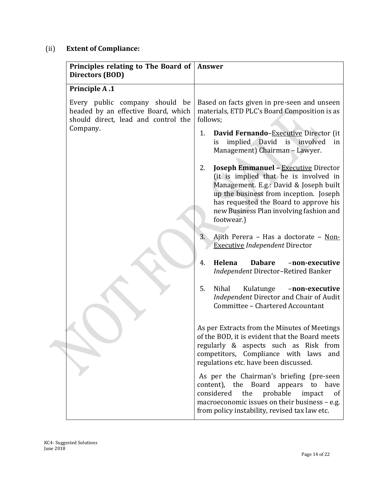# (ii) **Extent of Compliance:**

| Principles relating to The Board of   Answer<br>Directors (BOD)                                                          |                                                                                                                                                                                                                                                                                   |
|--------------------------------------------------------------------------------------------------------------------------|-----------------------------------------------------------------------------------------------------------------------------------------------------------------------------------------------------------------------------------------------------------------------------------|
| Principle A.1                                                                                                            |                                                                                                                                                                                                                                                                                   |
| Every public company should be<br>headed by an effective Board, which<br>should direct, lead and control the<br>Company. | Based on facts given in pre-seen and unseen<br>materials, ETD PLC's Board Composition is as<br>follows;                                                                                                                                                                           |
|                                                                                                                          | David Fernando-Executive Director (it<br>1.<br>implied David is involved<br>is<br>in<br>Management) Chairman - Lawyer.                                                                                                                                                            |
|                                                                                                                          | <b>Joseph Emmanuel - Executive Director</b><br>2.<br>(it is implied that he is involved in<br>Management. E.g.: David & Joseph built<br>up the business from inception. Joseph<br>has requested the Board to approve his<br>new Business Plan involving fashion and<br>footwear.) |
|                                                                                                                          | 3.<br>Ajith Perera - Has a doctorate - Non-<br><b>Executive Independent Director</b>                                                                                                                                                                                              |
|                                                                                                                          | Helena<br><b>Dabare</b><br>-non-executive<br>4.<br>Independent Director-Retired Banker                                                                                                                                                                                            |
|                                                                                                                          | 5.<br>Nihal<br>Kulatunge<br>-non-executive<br>Independent Director and Chair of Audit<br>Committee - Chartered Accountant                                                                                                                                                         |
|                                                                                                                          | As per Extracts from the Minutes of Meetings<br>of the BOD, it is evident that the Board meets<br>regularly & aspects such as Risk from<br>competitors, Compliance with laws<br>and<br>regulations etc. have been discussed.                                                      |
|                                                                                                                          | As per the Chairman's briefing (pre-seen<br>content), the Board appears to have<br>probable<br>considered the<br>impact<br>of<br>macroeconomic issues on their business - e.g.<br>from policy instability, revised tax law etc.                                                   |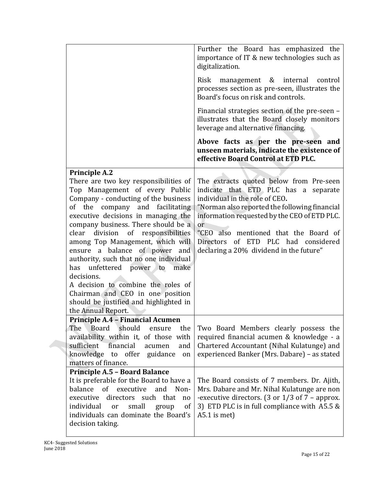|                                                                                                                                                                                                                                                                                                                                                                                                                                                                                                                                                                                                          | Further the Board has emphasized the<br>importance of IT & new technologies such as<br>digitalization.<br>Risk<br>management & internal<br>control<br>processes section as pre-seen, illustrates the<br>Board's focus on risk and controls.                                                                                                         |
|----------------------------------------------------------------------------------------------------------------------------------------------------------------------------------------------------------------------------------------------------------------------------------------------------------------------------------------------------------------------------------------------------------------------------------------------------------------------------------------------------------------------------------------------------------------------------------------------------------|-----------------------------------------------------------------------------------------------------------------------------------------------------------------------------------------------------------------------------------------------------------------------------------------------------------------------------------------------------|
|                                                                                                                                                                                                                                                                                                                                                                                                                                                                                                                                                                                                          | Financial strategies section of the pre-seen -<br>illustrates that the Board closely monitors<br>leverage and alternative financing.                                                                                                                                                                                                                |
|                                                                                                                                                                                                                                                                                                                                                                                                                                                                                                                                                                                                          | Above facts as per the pre-seen and<br>unseen materials, indicate the existence of<br>effective Board Control at ETD PLC.                                                                                                                                                                                                                           |
| <b>Principle A.2</b><br>There are two key responsibilities of<br>Top Management of every Public<br>Company - conducting of the business<br>of the company and facilitating<br>executive decisions in managing the<br>company business. There should be a<br>clear division of responsibilities<br>among Top Management, which will<br>ensure a balance of power and<br>authority, such that no one individual<br>has unfettered power to<br>make<br>decisions.<br>A decision to combine the roles of<br>Chairman and CEO in one position<br>should be justified and highlighted in<br>the Annual Report. | The extracts quoted below from Pre-seen<br>indicate that ETD PLC has a separate<br>individual in the role of CEO.<br>"Norman also reported the following financial<br>information requested by the CEO of ETD PLC.<br>or<br>"CEO also mentioned that the Board of<br>Directors of ETD PLC had considered<br>declaring a 20% dividend in the future" |
| Principle A.4 - Financial Acumen<br>should<br>The<br>Board<br>the<br>ensure<br>availability within it, of those with<br>sufficient<br>financial<br>acumen<br>and<br>knowledge to offer guidance<br>on<br>matters of finance.                                                                                                                                                                                                                                                                                                                                                                             | Two Board Members clearly possess the<br>required financial acumen & knowledge - a<br>Chartered Accountant (Nihal Kulatunge) and<br>experienced Banker (Mrs. Dabare) - as stated                                                                                                                                                                    |
| <b>Principle A.5 - Board Balance</b><br>It is preferable for the Board to have a<br>balance<br>of executive<br>and<br>Non-<br>executive<br>directors such that<br>no<br>individual<br>small<br>or<br>group<br>of<br>individuals can dominate the Board's<br>decision taking.                                                                                                                                                                                                                                                                                                                             | The Board consists of 7 members. Dr. Ajith,<br>Mrs. Dabare and Mr. Nihal Kulatunge are non<br>-executive directors. $(3 \text{ or } 1/3 \text{ of } 7 - \text{approx.})$<br>3) ETD PLC is in full compliance with A5.5 &<br>$A5.1$ is met)                                                                                                          |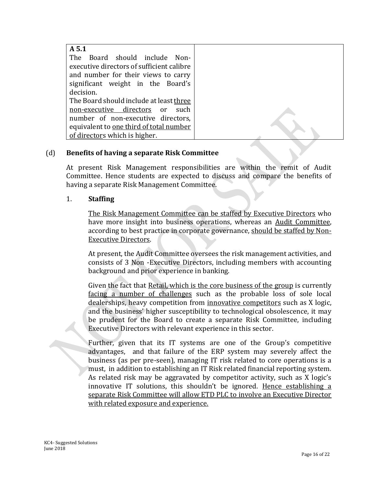| A 5.1<br>The Board should include Non-<br>executive directors of sufficient calibre<br>and number for their views to carry<br>significant weight in the Board's |  |
|-----------------------------------------------------------------------------------------------------------------------------------------------------------------|--|
| decision.                                                                                                                                                       |  |
| The Board should include at least three                                                                                                                         |  |
| non-executive directors or such                                                                                                                                 |  |
| number of non-executive directors,                                                                                                                              |  |
| equivalent to one third of total number                                                                                                                         |  |
| of directors which is higher.                                                                                                                                   |  |

#### (d) **Benefits of having a separate Risk Committee**

At present Risk Management responsibilities are within the remit of Audit Committee. Hence students are expected to discuss and compare the benefits of having a separate Risk Management Committee.

#### 1. **Staffing**

The Risk Management Committee can be staffed by Executive Directors who have more insight into business operations, whereas an Audit Committee, according to best practice in corporate governance, should be staffed by Non-Executive Directors.

At present, the Audit Committee oversees the risk management activities, and consists of 3 Non -Executive Directors, including members with accounting background and prior experience in banking.

Given the fact that Retail, which is the core business of the group is currently facing a number of challenges such as the probable loss of sole local dealerships, heavy competition from innovative competitors such as X logic, and the business' higher susceptibility to technological obsolescence, it may be prudent for the Board to create a separate Risk Committee, including Executive Directors with relevant experience in this sector.

Further, given that its IT systems are one of the Group's competitive advantages, and that failure of the ERP system may severely affect the business (as per pre-seen), managing IT risk related to core operations is a must, in addition to establishing an IT Risk related financial reporting system. As related risk may be aggravated by competitor activity, such as X logic's innovative IT solutions, this shouldn't be ignored. Hence establishing a separate Risk Committee will allow ETD PLC to involve an Executive Director with related exposure and experience.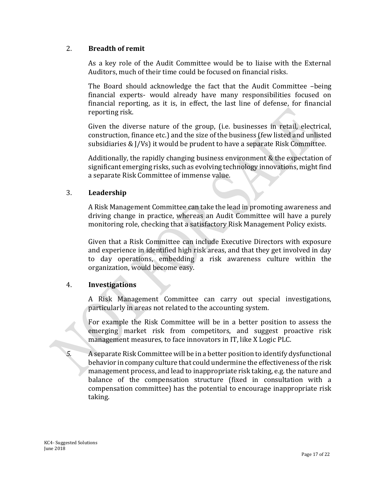#### 2. **Breadth of remit**

As a key role of the Audit Committee would be to liaise with the External Auditors, much of their time could be focused on financial risks.

The Board should acknowledge the fact that the Audit Committee –being financial experts- would already have many responsibilities focused on financial reporting, as it is, in effect, the last line of defense, for financial reporting risk.

Given the diverse nature of the group, (i.e. businesses in retail, electrical, construction, finance etc.) and the size of the business (few listed and unlisted subsidiaries & J/Vs) it would be prudent to have a separate Risk Committee.

Additionally, the rapidly changing business environment & the expectation of significant emerging risks, such as evolving technology innovations, might find a separate Risk Committee of immense value.

#### 3. **Leadership**

A Risk Management Committee can take the lead in promoting awareness and driving change in practice, whereas an Audit Committee will have a purely monitoring role, checking that a satisfactory Risk Management Policy exists.

Given that a Risk Committee can include Executive Directors with exposure and experience in identified high risk areas, and that they get involved in day to day operations, embedding a risk awareness culture within the organization, would become easy.

#### 4. **Investigations**

A Risk Management Committee can carry out special investigations, particularly in areas not related to the accounting system.

For example the Risk Committee will be in a better position to assess the emerging market risk from competitors, and suggest proactive risk management measures, to face innovators in IT, like X Logic PLC.

*5.* A separate Risk Committee will be in a better position to identify dysfunctional behavior in company culture that could undermine the effectiveness of the risk management process, and lead to inappropriate risk taking, e.g. the nature and balance of the compensation structure (fixed in consultation with a compensation committee) has the potential to encourage inappropriate risk taking.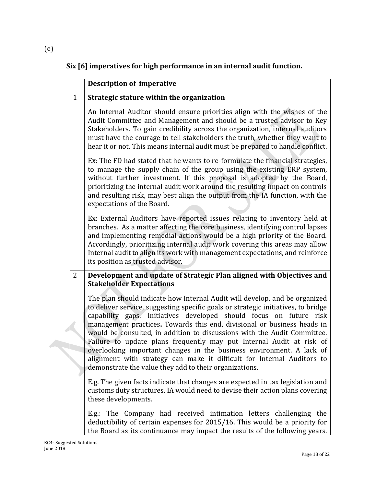# **Six [6] imperatives for high performance in an internal audit function.**

|                | <b>Description of imperative</b>                                                                                                                                                                                                                                                                                                                                                                                                                                                                                                                                                                                                                                                 |  |
|----------------|----------------------------------------------------------------------------------------------------------------------------------------------------------------------------------------------------------------------------------------------------------------------------------------------------------------------------------------------------------------------------------------------------------------------------------------------------------------------------------------------------------------------------------------------------------------------------------------------------------------------------------------------------------------------------------|--|
| $\mathbf{1}$   | Strategic stature within the organization                                                                                                                                                                                                                                                                                                                                                                                                                                                                                                                                                                                                                                        |  |
|                | An Internal Auditor should ensure priorities align with the wishes of the<br>Audit Committee and Management and should be a trusted advisor to Key<br>Stakeholders. To gain credibility across the organization, internal auditors<br>must have the courage to tell stakeholders the truth, whether they want to<br>hear it or not. This means internal audit must be prepared to handle conflict.                                                                                                                                                                                                                                                                               |  |
|                | Ex: The FD had stated that he wants to re-formulate the financial strategies,<br>to manage the supply chain of the group using the existing ERP system,<br>without further investment. If this proposal is adopted by the Board,<br>prioritizing the internal audit work around the resulting impact on controls<br>and resulting risk, may best align the output from the IA function, with the<br>expectations of the Board.                                                                                                                                                                                                                                                   |  |
|                | Ex: External Auditors have reported issues relating to inventory held at<br>branches. As a matter affecting the core business, identifying control lapses<br>and implementing remedial actions would be a high priority of the Board.<br>Accordingly, prioritizing internal audit work covering this areas may allow<br>Internal audit to align its work with management expectations, and reinforce<br>its position as trusted advisor.                                                                                                                                                                                                                                         |  |
| $\overline{2}$ | Development and update of Strategic Plan aligned with Objectives and<br><b>Stakeholder Expectations</b>                                                                                                                                                                                                                                                                                                                                                                                                                                                                                                                                                                          |  |
|                | The plan should indicate how Internal Audit will develop, and be organized<br>to deliver service, suggesting specific goals or strategic initiatives, to bridge<br>capability gaps. Initiatives developed should focus on future risk<br>management practices. Towards this end, divisional or business heads in<br>would be consulted, in addition to discussions with the Audit Committee.<br>Failure to update plans frequently may put Internal Audit at risk of<br>overlooking important changes in the business environment. A lack of<br>alignment with strategy can make it difficult for Internal Auditors to<br>demonstrate the value they add to their organizations. |  |
|                | E.g. The given facts indicate that changes are expected in tax legislation and<br>customs duty structures. IA would need to devise their action plans covering<br>these developments.                                                                                                                                                                                                                                                                                                                                                                                                                                                                                            |  |
|                | E.g.: The Company had received intimation letters challenging the<br>deductibility of certain expenses for 2015/16. This would be a priority for<br>the Board as its continuance may impact the results of the following years.                                                                                                                                                                                                                                                                                                                                                                                                                                                  |  |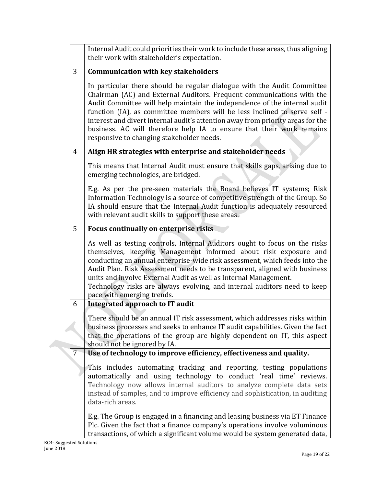|                                                                                                                                                                                                                                                                                                                                                                                                                                                                                         | Internal Audit could priorities their work to include these areas, thus aligning                                                                                                                                                                                                                                                                                                                                                                                                                                    |  |  |
|-----------------------------------------------------------------------------------------------------------------------------------------------------------------------------------------------------------------------------------------------------------------------------------------------------------------------------------------------------------------------------------------------------------------------------------------------------------------------------------------|---------------------------------------------------------------------------------------------------------------------------------------------------------------------------------------------------------------------------------------------------------------------------------------------------------------------------------------------------------------------------------------------------------------------------------------------------------------------------------------------------------------------|--|--|
|                                                                                                                                                                                                                                                                                                                                                                                                                                                                                         | their work with stakeholder's expectation.                                                                                                                                                                                                                                                                                                                                                                                                                                                                          |  |  |
| 3                                                                                                                                                                                                                                                                                                                                                                                                                                                                                       | <b>Communication with key stakeholders</b>                                                                                                                                                                                                                                                                                                                                                                                                                                                                          |  |  |
|                                                                                                                                                                                                                                                                                                                                                                                                                                                                                         | In particular there should be regular dialogue with the Audit Committee<br>Chairman (AC) and External Auditors. Frequent communications with the<br>Audit Committee will help maintain the independence of the internal audit<br>function (IA), as committee members will be less inclined to serve self -<br>interest and divert internal audit's attention away from priority areas for the<br>business. AC will therefore help IA to ensure that their work remains<br>responsive to changing stakeholder needs. |  |  |
| $\overline{4}$                                                                                                                                                                                                                                                                                                                                                                                                                                                                          | Align HR strategies with enterprise and stakeholder needs                                                                                                                                                                                                                                                                                                                                                                                                                                                           |  |  |
|                                                                                                                                                                                                                                                                                                                                                                                                                                                                                         | This means that Internal Audit must ensure that skills gaps, arising due to<br>emerging technologies, are bridged.                                                                                                                                                                                                                                                                                                                                                                                                  |  |  |
|                                                                                                                                                                                                                                                                                                                                                                                                                                                                                         | E.g. As per the pre-seen materials the Board believes IT systems; Risk<br>Information Technology is a source of competitive strength of the Group. So<br>IA should ensure that the Internal Audit function is adequately resourced<br>with relevant audit skills to support these areas.                                                                                                                                                                                                                            |  |  |
| 5                                                                                                                                                                                                                                                                                                                                                                                                                                                                                       | Focus continually on enterprise risks                                                                                                                                                                                                                                                                                                                                                                                                                                                                               |  |  |
| As well as testing controls, Internal Auditors ought to focus on the risks<br>themselves, keeping Management informed about risk exposure and<br>conducting an annual enterprise-wide risk assessment, which feeds into the<br>Audit Plan. Risk Assessment needs to be transparent, aligned with business<br>units and involve External Audit as well as Internal Management.<br>Technology risks are always evolving, and internal auditors need to keep<br>pace with emerging trends. |                                                                                                                                                                                                                                                                                                                                                                                                                                                                                                                     |  |  |
| 6                                                                                                                                                                                                                                                                                                                                                                                                                                                                                       | <b>Integrated approach to IT audit</b>                                                                                                                                                                                                                                                                                                                                                                                                                                                                              |  |  |
|                                                                                                                                                                                                                                                                                                                                                                                                                                                                                         | There should be an annual IT risk assessment, which addresses risks within<br>business processes and seeks to enhance IT audit capabilities. Given the fact<br>that the operations of the group are highly dependent on IT, this aspect<br>should not be ignored by IA.                                                                                                                                                                                                                                             |  |  |
| 7                                                                                                                                                                                                                                                                                                                                                                                                                                                                                       | Use of technology to improve efficiency, effectiveness and quality.                                                                                                                                                                                                                                                                                                                                                                                                                                                 |  |  |
|                                                                                                                                                                                                                                                                                                                                                                                                                                                                                         | This includes automating tracking and reporting, testing populations<br>automatically and using technology to conduct 'real time' reviews.<br>Technology now allows internal auditors to analyze complete data sets<br>instead of samples, and to improve efficiency and sophistication, in auditing<br>data-rich areas.                                                                                                                                                                                            |  |  |
|                                                                                                                                                                                                                                                                                                                                                                                                                                                                                         | E.g. The Group is engaged in a financing and leasing business via ET Finance<br>Plc. Given the fact that a finance company's operations involve voluminous<br>transactions, of which a significant volume would be system generated data,                                                                                                                                                                                                                                                                           |  |  |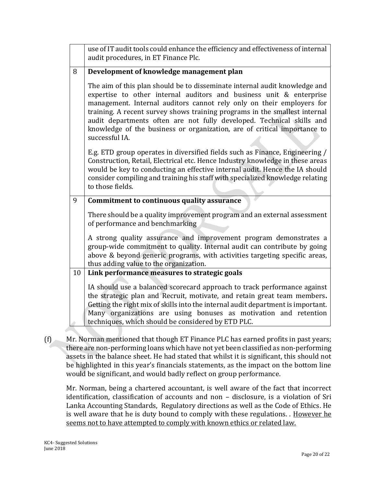|    | use of IT audit tools could enhance the efficiency and effectiveness of internal<br>audit procedures, in ET Finance Plc.                                                                                                                                                                                                                                                                                                                                                        |
|----|---------------------------------------------------------------------------------------------------------------------------------------------------------------------------------------------------------------------------------------------------------------------------------------------------------------------------------------------------------------------------------------------------------------------------------------------------------------------------------|
| 8  | Development of knowledge management plan                                                                                                                                                                                                                                                                                                                                                                                                                                        |
|    | The aim of this plan should be to disseminate internal audit knowledge and<br>expertise to other internal auditors and business unit & enterprise<br>management. Internal auditors cannot rely only on their employers for<br>training. A recent survey shows training programs in the smallest internal<br>audit departments often are not fully developed. Technical skills and<br>knowledge of the business or organization, are of critical importance to<br>successful IA. |
|    | E.g. ETD group operates in diversified fields such as Finance, Engineering /<br>Construction, Retail, Electrical etc. Hence Industry knowledge in these areas<br>would be key to conducting an effective internal audit. Hence the IA should<br>consider compiling and training his staff with specialized knowledge relating<br>to those fields.                                                                                                                               |
| 9  | <b>Commitment to continuous quality assurance</b>                                                                                                                                                                                                                                                                                                                                                                                                                               |
|    | There should be a quality improvement program and an external assessment<br>of performance and benchmarking                                                                                                                                                                                                                                                                                                                                                                     |
|    | A strong quality assurance and improvement program demonstrates a<br>group-wide commitment to quality. Internal audit can contribute by going<br>above & beyond generic programs, with activities targeting specific areas,<br>thus adding value to the organization.                                                                                                                                                                                                           |
| 10 | Link performance measures to strategic goals                                                                                                                                                                                                                                                                                                                                                                                                                                    |
|    | IA should use a balanced scorecard approach to track performance against<br>the strategic plan and Recruit, motivate, and retain great team members.<br>Getting the right mix of skills into the internal audit department is important.<br>Many organizations are using bonuses as motivation and retention<br>techniques, which should be considered by ETD PLC.                                                                                                              |

(f) Mr. Norman mentioned that though ET Finance PLC has earned profits in past years; there are non-performing loans which have not yet been classified as non-performing assets in the balance sheet. He had stated that whilst it is significant, this should not be highlighted in this year's financials statements, as the impact on the bottom line would be significant, and would badly reflect on group performance.

Mr. Norman, being a chartered accountant, is well aware of the fact that incorrect identification, classification of accounts and non – disclosure, is a violation of Sri Lanka Accounting Standards, Regulatory directions as well as the Code of Ethics. He is well aware that he is duty bound to comply with these regulations. . However he seems not to have attempted to comply with known ethics or related law.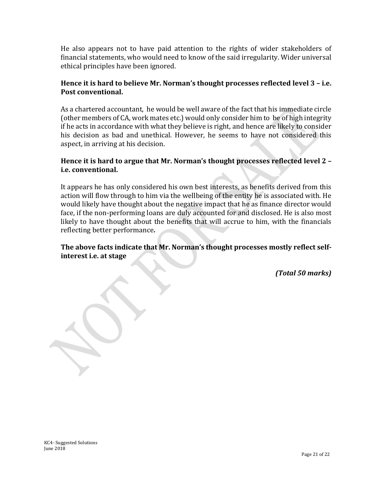He also appears not to have paid attention to the rights of wider stakeholders of financial statements, who would need to know of the said irregularity. Wider universal ethical principles have been ignored.

#### **Hence it is hard to believe Mr. Norman's thought processes reflected level 3 – i.e. Post conventional.**

As a chartered accountant, he would be well aware of the fact that his immediate circle (other members of CA, work mates etc.) would only consider him to be of high integrity if he acts in accordance with what they believe is right, and hence are likely to consider his decision as bad and unethical. However, he seems to have not considered this aspect, in arriving at his decision.

#### **Hence it is hard to argue that Mr. Norman's thought processes reflected level 2 – i.e. conventional.**

It appears he has only considered his own best interests, as benefits derived from this action will flow through to him via the wellbeing of the entity he is associated with. He would likely have thought about the negative impact that he as finance director would face, if the non-performing loans are duly accounted for and disclosed. He is also most likely to have thought about the benefits that will accrue to him, with the financials reflecting better performance*.* 

#### **The above facts indicate that Mr. Norman's thought processes mostly reflect selfinterest i.e. at stage**

*(Total 50 marks)*